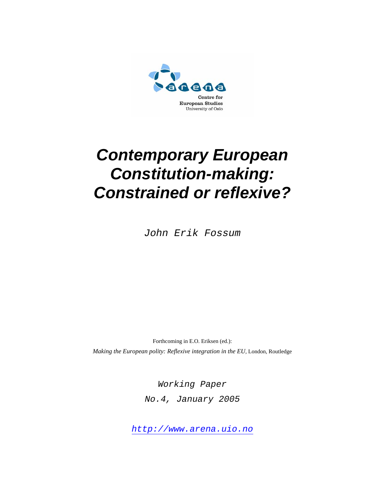

# *Contemporary European Constitution-making: Constrained or reflexive?*

*John Erik Fossum*

Forthcoming in E.O. Eriksen (ed.): *Making the European polity: Reflexive integration in the EU*, London, Routledge

> *Working Paper No.4, January 2005*

*[http://www.arena.uio.no](http://www.arena.uio.no/)*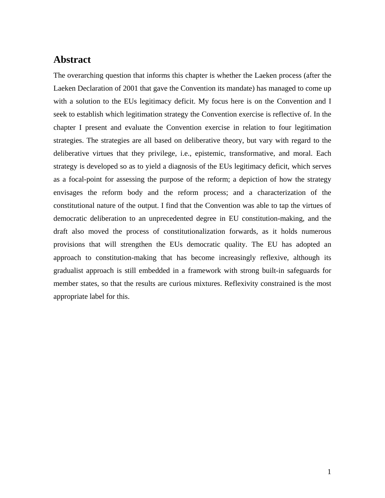## **Abstract**

The overarching question that informs this chapter is whether the Laeken process (after the Laeken Declaration of 2001 that gave the Convention its mandate) has managed to come up with a solution to the EUs legitimacy deficit. My focus here is on the Convention and I seek to establish which legitimation strategy the Convention exercise is reflective of. In the chapter I present and evaluate the Convention exercise in relation to four legitimation strategies. The strategies are all based on deliberative theory, but vary with regard to the deliberative virtues that they privilege, i.e., epistemic, transformative, and moral. Each strategy is developed so as to yield a diagnosis of the EUs legitimacy deficit, which serves as a focal-point for assessing the purpose of the reform; a depiction of how the strategy envisages the reform body and the reform process; and a characterization of the constitutional nature of the output. I find that the Convention was able to tap the virtues of democratic deliberation to an unprecedented degree in EU constitution-making, and the draft also moved the process of constitutionalization forwards, as it holds numerous provisions that will strengthen the EUs democratic quality. The EU has adopted an approach to constitution-making that has become increasingly reflexive, although its gradualist approach is still embedded in a framework with strong built-in safeguards for member states, so that the results are curious mixtures. Reflexivity constrained is the most appropriate label for this.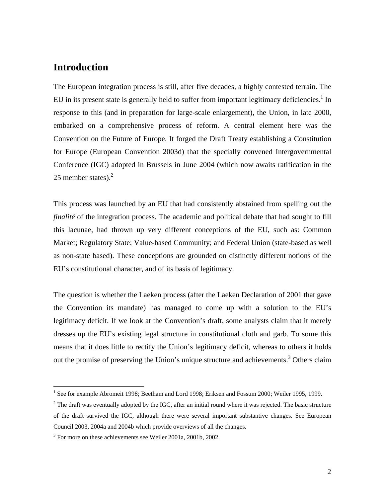## **Introduction**

<u>.</u>

The European integration process is still, after five decades, a highly contested terrain. The EU in its present state is generally held to suffer from important legitimacy deficiencies.<sup>1</sup> In response to this (and in preparation for large-scale enlargement), the Union, in late 2000, embarked on a comprehensive process of reform. A central element here was the Convention on the Future of Europe. It forged the Draft Treaty establishing a Constitution for Europe (European Convention 2003d) that the specially convened Intergovernmental Conference (IGC) adopted in Brussels in June 2004 (which now awaits ratification in the 25 member states). $2^2$ 

This process was launched by an EU that had consistently abstained from spelling out the *finalité* of the integration process. The academic and political debate that had sought to fill this lacunae, had thrown up very different conceptions of the EU, such as: Common Market; Regulatory State; Value-based Community; and Federal Union (state-based as well as non-state based). These conceptions are grounded on distinctly different notions of the EU's constitutional character, and of its basis of legitimacy.

The question is whether the Laeken process (after the Laeken Declaration of 2001 that gave the Convention its mandate) has managed to come up with a solution to the EU's legitimacy deficit. If we look at the Convention's draft, some analysts claim that it merely dresses up the EU's existing legal structure in constitutional cloth and garb. To some this means that it does little to rectify the Union's legitimacy deficit, whereas to others it holds out the promise of preserving the Union's unique structure and achievements.<sup>3</sup> Others claim

<span id="page-2-0"></span><sup>&</sup>lt;sup>1</sup> See for example Abromeit 1998; Beetham and Lord 1998; Eriksen and Fossum 2000; Weiler 1995, 1999.

<span id="page-2-1"></span><sup>&</sup>lt;sup>2</sup> The draft was eventually adopted by the IGC, after an initial round where it was rejected. The basic structure of the draft survived the IGC, although there were several important substantive changes. See European Council 2003, 2004a and 2004b which provide overviews of all the changes.

<span id="page-2-2"></span><sup>&</sup>lt;sup>3</sup> For more on these achievements see Weiler 2001a, 2001b, 2002.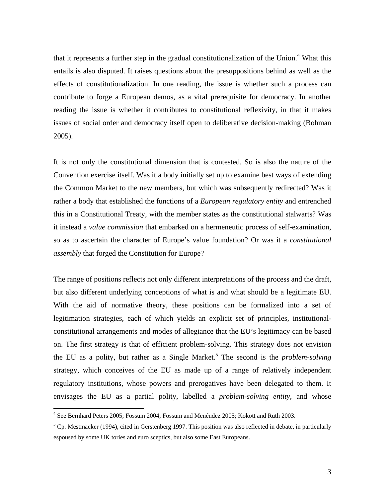that it represents a further step in the gradual constitutionalization of the Union.<sup>[4](#page-3-0)</sup> What this entails is also disputed. It raises questions about the presuppositions behind as well as the effects of constitutionalization. In one reading, the issue is whether such a process can contribute to forge a European demos, as a vital prerequisite for democracy. In another reading the issue is whether it contributes to constitutional reflexivity, in that it makes issues of social order and democracy itself open to deliberative decision-making (Bohman 2005).

It is not only the constitutional dimension that is contested. So is also the nature of the Convention exercise itself. Was it a body initially set up to examine best ways of extending the Common Market to the new members, but which was subsequently redirected? Was it rather a body that established the functions of a *European regulatory entity* and entrenched this in a Constitutional Treaty, with the member states as the constitutional stalwarts? Was it instead a *value commission* that embarked on a hermeneutic process of self-examination, so as to ascertain the character of Europe's value foundation? Or was it a *constitutional assembly* that forged the Constitution for Europe?

The range of positions reflects not only different interpretations of the process and the draft, but also different underlying conceptions of what is and what should be a legitimate EU. With the aid of normative theory, these positions can be formalized into a set of legitimation strategies, each of which yields an explicit set of principles, institutionalconstitutional arrangements and modes of allegiance that the EU's legitimacy can be based on. The first strategy is that of efficient problem-solving. This strategy does not envision the EU as a polity, but rather as a Single Market.<sup>[5](#page-3-1)</sup> The second is the *problem-solving* strategy, which conceives of the EU as made up of a range of relatively independent regulatory institutions, whose powers and prerogatives have been delegated to them. It envisages the EU as a partial polity, labelled a *problem-solving entity*, and whose

<span id="page-3-0"></span> 4 See Bernhard Peters 2005; Fossum 2004; Fossum and Menéndez 2005; Kokott and Rüth 2003.

<span id="page-3-1"></span> $5$  Cp. Mestmäcker (1994), cited in Gerstenberg 1997. This position was also reflected in debate, in particularly espoused by some UK tories and euro sceptics, but also some East Europeans.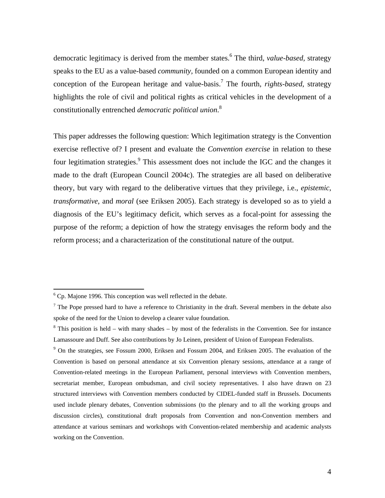democratic legitimacy is derived from the member states.<sup>6</sup> The third, *value-based*, strategy speaks to the EU as a value-based *community,* founded on a common European identity and conception of the European heritage and value-basis[.7](#page-4-1) The fourth, *rights-based*, strategy highlights the role of civil and political rights as critical vehicles in the development of a constitutionally entrenched *democratic political union*. [8](#page-4-2)

This paper addresses the following question: Which legitimation strategy is the Convention exercise reflective of? I present and evaluate the *Convention exercise* in relation to these four legitimation strategies.<sup>9</sup> This assessment does not include the IGC and the changes it made to the draft (European Council 2004c). The strategies are all based on deliberative theory, but vary with regard to the deliberative virtues that they privilege, i.e., *epistemic*, *transformative*, and *moral* (see Eriksen 2005). Each strategy is developed so as to yield a diagnosis of the EU's legitimacy deficit, which serves as a focal-point for assessing the purpose of the reform; a depiction of how the strategy envisages the reform body and the reform process; and a characterization of the constitutional nature of the output.

<u>.</u>

<span id="page-4-3"></span><sup>9</sup> On the strategies, see Fossum 2000, Eriksen and Fossum 2004, and Eriksen 2005. The evaluation of the Convention is based on personal attendance at six Convention plenary sessions, attendance at a range of Convention-related meetings in the European Parliament, personal interviews with Convention members, secretariat member, European ombudsman, and civil society representatives. I also have drawn on 23 structured interviews with Convention members conducted by CIDEL-funded staff in Brussels. Documents used include plenary debates, Convention submissions (to the plenary and to all the working groups and discussion circles), constitutional draft proposals from Convention and non-Convention members and attendance at various seminars and workshops with Convention-related membership and academic analysts working on the Convention.

<span id="page-4-0"></span> $6$  Cp. Majone 1996. This conception was well reflected in the debate.

<span id="page-4-1"></span> $<sup>7</sup>$  The Pope pressed hard to have a reference to Christianity in the draft. Several members in the debate also</sup> spoke of the need for the Union to develop a clearer value foundation.

<span id="page-4-2"></span> $8$  This position is held – with many shades – by most of the federalists in the Convention. See for instance Lamassoure and Duff. See also contributions by Jo Leinen, president of Union of European Federalists.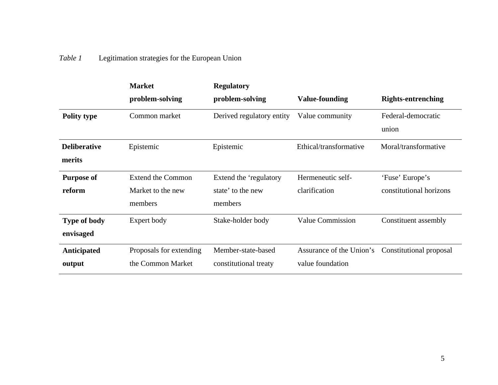*Table 1* Legitimation strategies for the European Union

|                                  | <b>Market</b>                                | <b>Regulatory</b>                           |                                                                      |                             |
|----------------------------------|----------------------------------------------|---------------------------------------------|----------------------------------------------------------------------|-----------------------------|
|                                  | problem-solving                              | problem-solving                             | <b>Value-founding</b>                                                | <b>Rights-entrenching</b>   |
| <b>Polity type</b>               | Common market                                | Derived regulatory entity                   | Value community                                                      | Federal-democratic<br>union |
| <b>Deliberative</b><br>merits    | Epistemic                                    | Epistemic                                   | Ethical/transformative                                               | Moral/transformative        |
| <b>Purpose of</b>                | <b>Extend the Common</b>                     | Extend the 'regulatory                      | Hermeneutic self-                                                    | 'Fuse' Europe's             |
| reform                           | Market to the new<br>members                 | state' to the new<br>members                | clarification                                                        | constitutional horizons     |
| <b>Type of body</b><br>envisaged | Expert body                                  | Stake-holder body                           | <b>Value Commission</b>                                              | Constituent assembly        |
| Anticipated<br>output            | Proposals for extending<br>the Common Market | Member-state-based<br>constitutional treaty | Assurance of the Union's Constitutional proposal<br>value foundation |                             |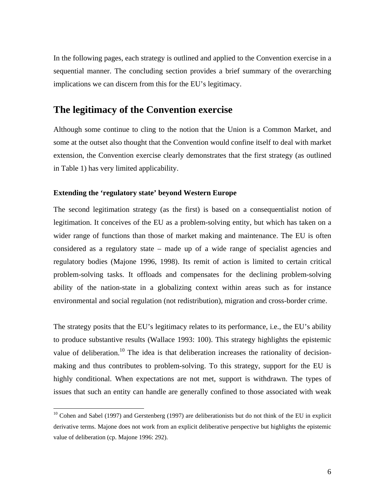In the following pages, each strategy is outlined and applied to the Convention exercise in a sequential manner. The concluding section provides a brief summary of the overarching implications we can discern from this for the EU's legitimacy.

## **The legitimacy of the Convention exercise**

Although some continue to cling to the notion that the Union is a Common Market, and some at the outset also thought that the Convention would confine itself to deal with market extension, the Convention exercise clearly demonstrates that the first strategy (as outlined in Table 1) has very limited applicability.

#### **Extending the 'regulatory state' beyond Western Europe**

<u>.</u>

The second legitimation strategy (as the first) is based on a consequentialist notion of legitimation. It conceives of the EU as a problem-solving entity, but which has taken on a wider range of functions than those of market making and maintenance. The EU is often considered as a regulatory state – made up of a wide range of specialist agencies and regulatory bodies (Majone 1996, 1998). Its remit of action is limited to certain critical problem-solving tasks. It offloads and compensates for the declining problem-solving ability of the nation-state in a globalizing context within areas such as for instance environmental and social regulation (not redistribution), migration and cross-border crime.

The strategy posits that the EU's legitimacy relates to its performance, i.e., the EU's ability to produce substantive results (Wallace 1993: 100). This strategy highlights the epistemic value of deliberation.<sup>10</sup> The idea is that deliberation increases the rationality of decisionmaking and thus contributes to problem-solving. To this strategy, support for the EU is highly conditional. When expectations are not met, support is withdrawn. The types of issues that such an entity can handle are generally confined to those associated with weak

<span id="page-6-0"></span> $10$  Cohen and Sabel (1997) and Gerstenberg (1997) are deliberationists but do not think of the EU in explicit derivative terms. Majone does not work from an explicit deliberative perspective but highlights the epistemic value of deliberation (cp. Majone 1996: 292).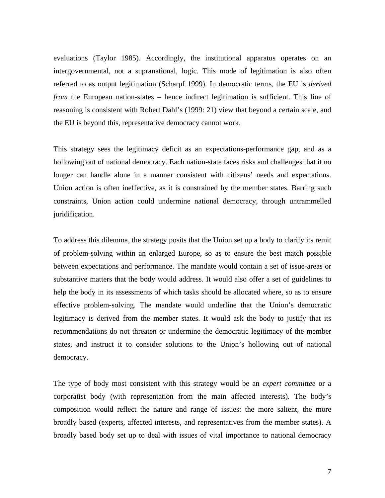evaluations (Taylor 1985). Accordingly, the institutional apparatus operates on an intergovernmental, not a supranational, logic. This mode of legitimation is also often referred to as output legitimation (Scharpf 1999). In democratic terms, the EU is *derived from* the European nation-states – hence indirect legitimation is sufficient. This line of reasoning is consistent with Robert Dahl's (1999: 21) view that beyond a certain scale, and the EU is beyond this, representative democracy cannot work.

This strategy sees the legitimacy deficit as an expectations-performance gap, and as a hollowing out of national democracy. Each nation-state faces risks and challenges that it no longer can handle alone in a manner consistent with citizens' needs and expectations. Union action is often ineffective, as it is constrained by the member states. Barring such constraints, Union action could undermine national democracy, through untrammelled juridification.

To address this dilemma, the strategy posits that the Union set up a body to clarify its remit of problem-solving within an enlarged Europe, so as to ensure the best match possible between expectations and performance. The mandate would contain a set of issue-areas or substantive matters that the body would address. It would also offer a set of guidelines to help the body in its assessments of which tasks should be allocated where, so as to ensure effective problem-solving. The mandate would underline that the Union's democratic legitimacy is derived from the member states. It would ask the body to justify that its recommendations do not threaten or undermine the democratic legitimacy of the member states, and instruct it to consider solutions to the Union's hollowing out of national democracy.

The type of body most consistent with this strategy would be an *expert committee* or a corporatist body (with representation from the main affected interests). The body's composition would reflect the nature and range of issues: the more salient, the more broadly based (experts, affected interests, and representatives from the member states). A broadly based body set up to deal with issues of vital importance to national democracy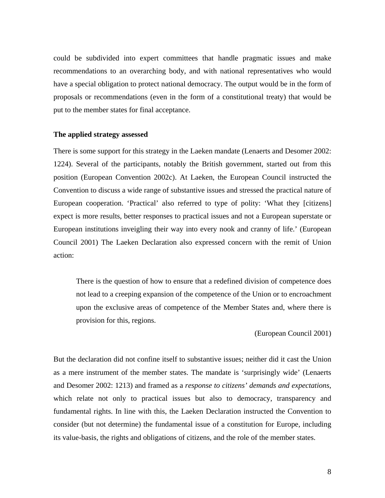could be subdivided into expert committees that handle pragmatic issues and make recommendations to an overarching body, and with national representatives who would have a special obligation to protect national democracy. The output would be in the form of proposals or recommendations (even in the form of a constitutional treaty) that would be put to the member states for final acceptance.

#### **The applied strategy assessed**

There is some support for this strategy in the Laeken mandate (Lenaerts and Desomer 2002: 1224). Several of the participants, notably the British government, started out from this position (European Convention 2002c). At Laeken, the European Council instructed the Convention to discuss a wide range of substantive issues and stressed the practical nature of European cooperation. 'Practical' also referred to type of polity: 'What they [citizens] expect is more results, better responses to practical issues and not a European superstate or European institutions inveigling their way into every nook and cranny of life.' (European Council 2001) The Laeken Declaration also expressed concern with the remit of Union action:

There is the question of how to ensure that a redefined division of competence does not lead to a creeping expansion of the competence of the Union or to encroachment upon the exclusive areas of competence of the Member States and, where there is provision for this, regions.

#### (European Council 2001)

But the declaration did not confine itself to substantive issues; neither did it cast the Union as a mere instrument of the member states. The mandate is 'surprisingly wide' (Lenaerts and Desomer 2002: 1213) and framed as a *response to citizens' demands and expectations*, which relate not only to practical issues but also to democracy, transparency and fundamental rights. In line with this, the Laeken Declaration instructed the Convention to consider (but not determine) the fundamental issue of a constitution for Europe, including its value-basis, the rights and obligations of citizens, and the role of the member states.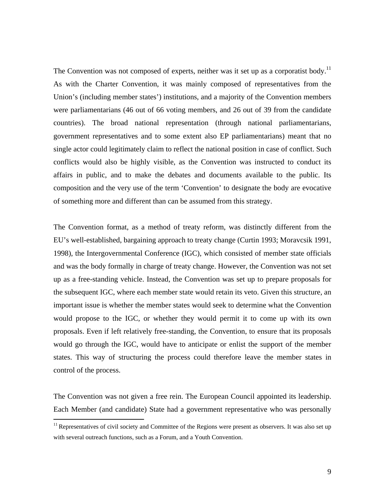The Convention was not composed of experts, neither was it set up as a corporatist body.<sup>11</sup> As with the Charter Convention, it was mainly composed of representatives from the Union's (including member states') institutions, and a majority of the Convention members were parliamentarians (46 out of 66 voting members, and 26 out of 39 from the candidate countries). The broad national representation (through national parliamentarians, government representatives and to some extent also EP parliamentarians) meant that no single actor could legitimately claim to reflect the national position in case of conflict. Such conflicts would also be highly visible, as the Convention was instructed to conduct its affairs in public, and to make the debates and documents available to the public. Its composition and the very use of the term 'Convention' to designate the body are evocative of something more and different than can be assumed from this strategy.

The Convention format, as a method of treaty reform, was distinctly different from the EU's well-established, bargaining approach to treaty change (Curtin 1993; Moravcsik 1991, 1998), the Intergovernmental Conference (IGC), which consisted of member state officials and was the body formally in charge of treaty change. However, the Convention was not set up as a free-standing vehicle. Instead, the Convention was set up to prepare proposals for the subsequent IGC, where each member state would retain its veto. Given this structure, an important issue is whether the member states would seek to determine what the Convention would propose to the IGC, or whether they would permit it to come up with its own proposals. Even if left relatively free-standing, the Convention, to ensure that its proposals would go through the IGC, would have to anticipate or enlist the support of the member states. This way of structuring the process could therefore leave the member states in control of the process.

The Convention was not given a free rein. The European Council appointed its leadership. Each Member (and candidate) State had a government representative who was personally

<span id="page-9-0"></span> $11$  Representatives of civil society and Committee of the Regions were present as observers. It was also set up with several outreach functions, such as a Forum, and a Youth Convention.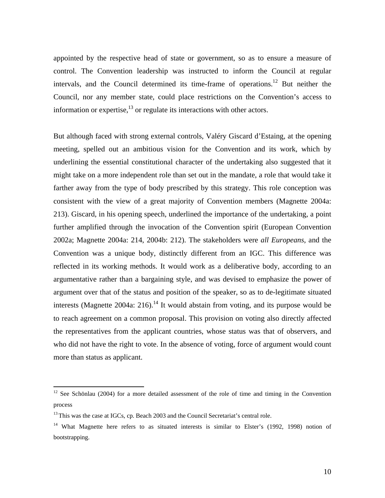appointed by the respective head of state or government, so as to ensure a measure of control. The Convention leadership was instructed to inform the Council at regular intervals, and the Council determined its time-frame of operations.<sup>12</sup> But neither the Council, nor any member state, could place restrictions on the Convention's access to information or expertise,  $^{13}$  or regulate its interactions with other actors.

But although faced with strong external controls, Valéry Giscard d'Estaing, at the opening meeting, spelled out an ambitious vision for the Convention and its work, which by underlining the essential constitutional character of the undertaking also suggested that it might take on a more independent role than set out in the mandate, a role that would take it farther away from the type of body prescribed by this strategy. This role conception was consistent with the view of a great majority of Convention members (Magnette 2004a: 213). Giscard, in his opening speech, underlined the importance of the undertaking, a point further amplified through the invocation of the Convention spirit (European Convention 2002a; Magnette 2004a: 214, 2004b: 212). The stakeholders were *all Europeans*, and the Convention was a unique body, distinctly different from an IGC. This difference was reflected in its working methods. It would work as a deliberative body, according to an argumentative rather than a bargaining style, and was devised to emphasize the power of argument over that of the status and position of the speaker, so as to de-legitimate situated interests (Magnette 2004a: 216).<sup>14</sup> It would abstain from voting, and its purpose would be to reach agreement on a common proposal. This provision on voting also directly affected the representatives from the applicant countries, whose status was that of observers, and who did not have the right to vote. In the absence of voting, force of argument would count more than status as applicant.

<span id="page-10-0"></span><sup>&</sup>lt;sup>12</sup> See Schönlau (2004) for a more detailed assessment of the role of time and timing in the Convention process

<span id="page-10-1"></span> $13$  This was the case at IGCs, cp. Beach 2003 and the Council Secretariat's central role.

<span id="page-10-2"></span><sup>&</sup>lt;sup>14</sup> What Magnette here refers to as situated interests is similar to Elster's (1992, 1998) notion of bootstrapping.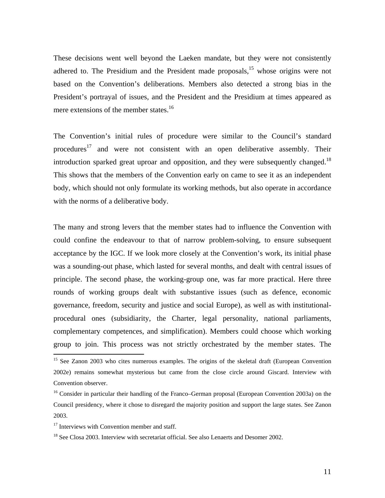These decisions went well beyond the Laeken mandate, but they were not consistently adhered to. The Presidium and the President made proposals,<sup>15</sup> whose origins were not based on the Convention's deliberations. Members also detected a strong bias in the President's portrayal of issues, and the President and the Presidium at times appeared as mere extensions of the member states.<sup>16</sup>

The Convention's initial rules of procedure were similar to the Council's standard procedures<sup>17</sup> and were not consistent with an open deliberative assembly. Their introduction sparked great uproar and opposition, and they were subsequently changed.<sup>18</sup> This shows that the members of the Convention early on came to see it as an independent body, which should not only formulate its working methods, but also operate in accordance with the norms of a deliberative body.

The many and strong levers that the member states had to influence the Convention with could confine the endeavour to that of narrow problem-solving, to ensure subsequent acceptance by the IGC. If we look more closely at the Convention's work, its initial phase was a sounding-out phase, which lasted for several months, and dealt with central issues of principle. The second phase, the working-group one, was far more practical. Here three rounds of working groups dealt with substantive issues (such as defence, economic governance, freedom, security and justice and social Europe), as well as with institutionalprocedural ones (subsidiarity, the Charter, legal personality, national parliaments, complementary competences, and simplification). Members could choose which working group to join. This process was not strictly orchestrated by the member states. The

<span id="page-11-0"></span><sup>&</sup>lt;sup>15</sup> See Zanon 2003 who cites numerous examples. The origins of the skeletal draft (European Convention 2002e) remains somewhat mysterious but came from the close circle around Giscard. Interview with Convention observer.

<span id="page-11-1"></span><sup>&</sup>lt;sup>16</sup> Consider in particular their handling of the Franco–German proposal (European Convention 2003a) on the Council presidency, where it chose to disregard the majority position and support the large states. See Zanon 2003.

<span id="page-11-2"></span> $17$  Interviews with Convention member and staff.

<span id="page-11-3"></span><sup>&</sup>lt;sup>18</sup> See Closa 2003. Interview with secretariat official. See also Lenaerts and Desomer 2002.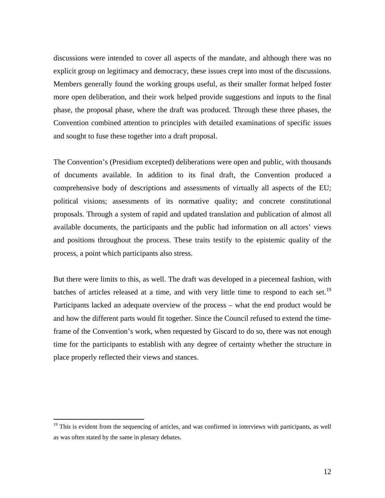discussions were intended to cover all aspects of the mandate, and although there was no explicit group on legitimacy and democracy, these issues crept into most of the discussions. Members generally found the working groups useful, as their smaller format helped foster more open deliberation, and their work helped provide suggestions and inputs to the final phase, the proposal phase, where the draft was produced. Through these three phases, the Convention combined attention to principles with detailed examinations of specific issues and sought to fuse these together into a draft proposal.

The Convention's (Presidium excepted) deliberations were open and public, with thousands of documents available. In addition to its final draft, the Convention produced a comprehensive body of descriptions and assessments of virtually all aspects of the EU; political visions; assessments of its normative quality; and concrete constitutional proposals. Through a system of rapid and updated translation and publication of almost all available documents, the participants and the public had information on all actors' views and positions throughout the process. These traits testify to the epistemic quality of the process, a point which participants also stress.

But there were limits to this, as well. The draft was developed in a piecemeal fashion, with batches of articles released at a time, and with very little time to respond to each set.<sup>19</sup> Participants lacked an adequate overview of the process – what the end product would be and how the different parts would fit together. Since the Council refused to extend the timeframe of the Convention's work, when requested by Giscard to do so, there was not enough time for the participants to establish with any degree of certainty whether the structure in place properly reflected their views and stances.

<span id="page-12-0"></span><sup>&</sup>lt;sup>19</sup> This is evident from the sequencing of articles, and was confirmed in interviews with participants, as well as was often stated by the same in plenary debates.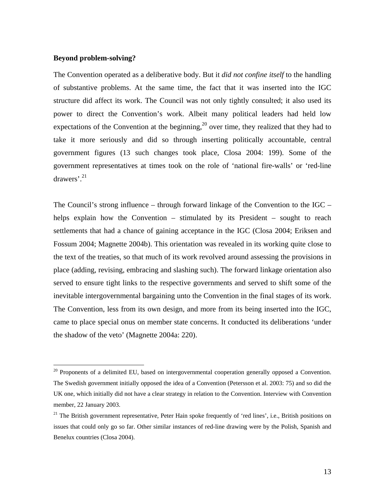#### **Beyond problem-solving?**

<u>.</u>

The Convention operated as a deliberative body. But it *did not confine itself* to the handling of substantive problems. At the same time, the fact that it was inserted into the IGC structure did affect its work. The Council was not only tightly consulted; it also used its power to direct the Convention's work. Albeit many political leaders had held low expectations of the Convention at the beginning,<sup>20</sup> over time, they realized that they had to take it more seriously and did so through inserting politically accountable, central government figures (13 such changes took place, Closa 2004: 199). Some of the government representatives at times took on the role of 'national fire-walls' or 'red-line drawers'. $^{21}$ 

The Council's strong influence – through forward linkage of the Convention to the IGC – helps explain how the Convention – stimulated by its President – sought to reach settlements that had a chance of gaining acceptance in the IGC (Closa 2004; Eriksen and Fossum 2004; Magnette 2004b). This orientation was revealed in its working quite close to the text of the treaties, so that much of its work revolved around assessing the provisions in place (adding, revising, embracing and slashing such). The forward linkage orientation also served to ensure tight links to the respective governments and served to shift some of the inevitable intergovernmental bargaining unto the Convention in the final stages of its work. The Convention, less from its own design, and more from its being inserted into the IGC, came to place special onus on member state concerns. It conducted its deliberations 'under the shadow of the veto' (Magnette 2004a: 220).

<span id="page-13-0"></span><sup>&</sup>lt;sup>20</sup> Proponents of a delimited EU, based on intergovernmental cooperation generally opposed a Convention. The Swedish government initially opposed the idea of a Convention (Petersson et al. 2003: 75) and so did the UK one, which initially did not have a clear strategy in relation to the Convention. Interview with Convention member, 22 January 2003.

<span id="page-13-1"></span> $21$  The British government representative, Peter Hain spoke frequently of 'red lines', i.e., British positions on issues that could only go so far. Other similar instances of red-line drawing were by the Polish, Spanish and Benelux countries (Closa 2004).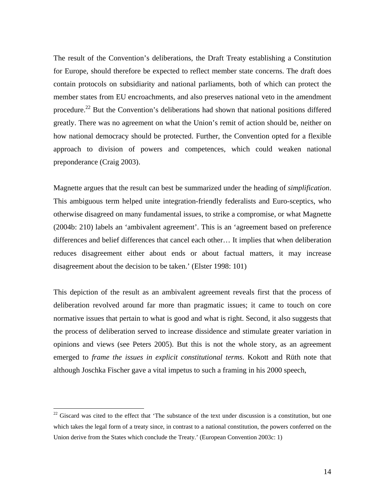The result of the Convention's deliberations, the Draft Treaty establishing a Constitution for Europe, should therefore be expected to reflect member state concerns. The draft does contain protocols on subsidiarity and national parliaments, both of which can protect the member states from EU encroachments, and also preserves national veto in the amendment procedure.<sup>22</sup> But the Convention's deliberations had shown that national positions differed greatly. There was no agreement on what the Union's remit of action should be, neither on how national democracy should be protected. Further, the Convention opted for a flexible approach to division of powers and competences, which could weaken national preponderance (Craig 2003).

Magnette argues that the result can best be summarized under the heading of *simplification*. This ambiguous term helped unite integration-friendly federalists and Euro-sceptics, who otherwise disagreed on many fundamental issues, to strike a compromise, or what Magnette (2004b: 210) labels an 'ambivalent agreement'. This is an 'agreement based on preference differences and belief differences that cancel each other… It implies that when deliberation reduces disagreement either about ends or about factual matters, it may increase disagreement about the decision to be taken.' (Elster 1998: 101)

This depiction of the result as an ambivalent agreement reveals first that the process of deliberation revolved around far more than pragmatic issues; it came to touch on core normative issues that pertain to what is good and what is right. Second, it also suggests that the process of deliberation served to increase dissidence and stimulate greater variation in opinions and views (see Peters 2005). But this is not the whole story, as an agreement emerged to *frame the issues in explicit constitutional terms*. Kokott and Rüth note that although Joschka Fischer gave a vital impetus to such a framing in his 2000 speech,

<span id="page-14-0"></span> $^{22}$  Giscard was cited to the effect that 'The substance of the text under discussion is a constitution, but one which takes the legal form of a treaty since, in contrast to a national constitution, the powers conferred on the Union derive from the States which conclude the Treaty.' (European Convention 2003c: 1)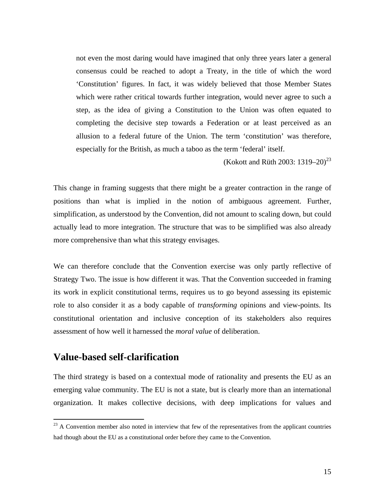not even the most daring would have imagined that only three years later a general consensus could be reached to adopt a Treaty, in the title of which the word 'Constitution' figures. In fact, it was widely believed that those Member States which were rather critical towards further integration, would never agree to such a step, as the idea of giving a Constitution to the Union was often equated to completing the decisive step towards a Federation or at least perceived as an allusion to a federal future of the Union. The term 'constitution' was therefore, especially for the British, as much a taboo as the term 'federal' itself.

(Kokott and Rüth 2003: 1319–20)<sup>[23](#page-15-0)</sup>

This change in framing suggests that there might be a greater contraction in the range of positions than what is implied in the notion of ambiguous agreement. Further, simplification, as understood by the Convention, did not amount to scaling down, but could actually lead to more integration. The structure that was to be simplified was also already more comprehensive than what this strategy envisages.

We can therefore conclude that the Convention exercise was only partly reflective of Strategy Two. The issue is how different it was. That the Convention succeeded in framing its work in explicit constitutional terms, requires us to go beyond assessing its epistemic role to also consider it as a body capable of *transforming* opinions and view-points. Its constitutional orientation and inclusive conception of its stakeholders also requires assessment of how well it harnessed the *moral value* of deliberation.

## **Value-based self-clarification**

<u>.</u>

The third strategy is based on a contextual mode of rationality and presents the EU as an emerging value community. The EU is not a state, but is clearly more than an international organization. It makes collective decisions, with deep implications for values and

<span id="page-15-0"></span> $^{23}$  A Convention member also noted in interview that few of the representatives from the applicant countries had though about the EU as a constitutional order before they came to the Convention.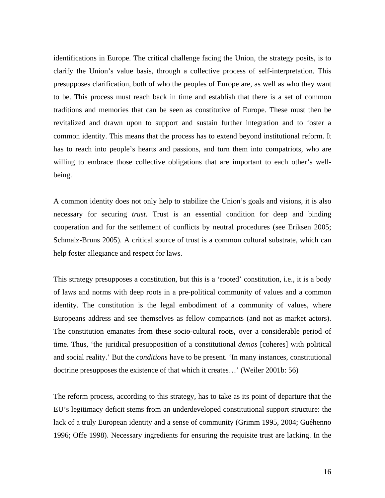identifications in Europe. The critical challenge facing the Union, the strategy posits, is to clarify the Union's value basis, through a collective process of self-interpretation. This presupposes clarification, both of who the peoples of Europe are, as well as who they want to be. This process must reach back in time and establish that there is a set of common traditions and memories that can be seen as constitutive of Europe. These must then be revitalized and drawn upon to support and sustain further integration and to foster a common identity. This means that the process has to extend beyond institutional reform. It has to reach into people's hearts and passions, and turn them into compatriots, who are willing to embrace those collective obligations that are important to each other's wellbeing.

A common identity does not only help to stabilize the Union's goals and visions, it is also necessary for securing *trust*. Trust is an essential condition for deep and binding cooperation and for the settlement of conflicts by neutral procedures (see Eriksen 2005; Schmalz-Bruns 2005). A critical source of trust is a common cultural substrate, which can help foster allegiance and respect for laws.

This strategy presupposes a constitution, but this is a 'rooted' constitution, i.e., it is a body of laws and norms with deep roots in a pre-political community of values and a common identity. The constitution is the legal embodiment of a community of values, where Europeans address and see themselves as fellow compatriots (and not as market actors). The constitution emanates from these socio-cultural roots, over a considerable period of time. Thus, 'the juridical presupposition of a constitutional *demos* [coheres] with political and social reality.' But the *conditions* have to be present. 'In many instances, constitutional doctrine presupposes the existence of that which it creates…' (Weiler 2001b: 56)

The reform process, according to this strategy, has to take as its point of departure that the EU's legitimacy deficit stems from an underdeveloped constitutional support structure: the lack of a truly European identity and a sense of community (Grimm 1995, 2004; Guéhenno 1996; Offe 1998). Necessary ingredients for ensuring the requisite trust are lacking. In the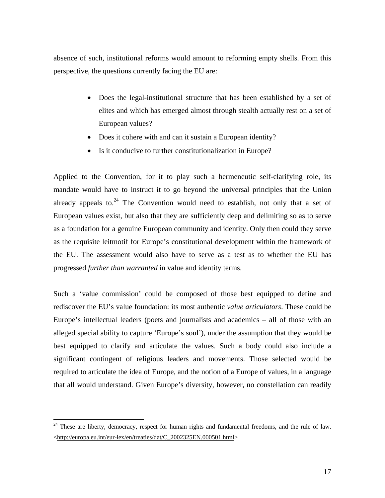absence of such, institutional reforms would amount to reforming empty shells. From this perspective, the questions currently facing the EU are:

- Does the legal-institutional structure that has been established by a set of elites and which has emerged almost through stealth actually rest on a set of European values?
- Does it cohere with and can it sustain a European identity?
- Is it conducive to further constitutionalization in Europe?

Applied to the Convention, for it to play such a hermeneutic self-clarifying role, its mandate would have to instruct it to go beyond the universal principles that the Union already appeals to. $24$  The Convention would need to establish, not only that a set of European values exist, but also that they are sufficiently deep and delimiting so as to serve as a foundation for a genuine European community and identity. Only then could they serve as the requisite leitmotif for Europe's constitutional development within the framework of the EU. The assessment would also have to serve as a test as to whether the EU has progressed *further than warranted* in value and identity terms.

Such a 'value commission' could be composed of those best equipped to define and rediscover the EU's value foundation: its most authentic *value articulators*. These could be Europe's intellectual leaders (poets and journalists and academics – all of those with an alleged special ability to capture 'Europe's soul'), under the assumption that they would be best equipped to clarify and articulate the values. Such a body could also include a significant contingent of religious leaders and movements. Those selected would be required to articulate the idea of Europe, and the notion of a Europe of values, in a language that all would understand. Given Europe's diversity, however, no constellation can readily

<span id="page-17-0"></span> $24$  These are liberty, democracy, respect for human rights and fundamental freedoms, and the rule of law. <[http://europa.eu.int/eur-lex/en/treaties/dat/C\\_2002325EN.000501.html>](http://europa.eu.int/eur-lex/en/treaties/dat/C_2002325EN.000501.html)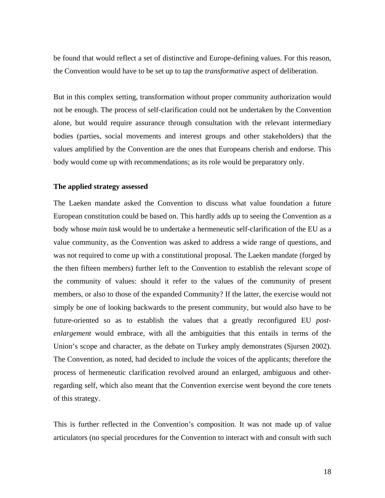be found that would reflect a set of distinctive and Europe-defining values. For this reason, the Convention would have to be set up to tap the *transformative* aspect of deliberation.

But in this complex setting, transformation without proper community authorization would not be enough. The process of self-clarification could not be undertaken by the Convention alone, but would require assurance through consultation with the relevant intermediary bodies (parties, social movements and interest groups and other stakeholders) that the values amplified by the Convention are the ones that Europeans cherish and endorse. This body would come up with recommendations; as its role would be preparatory only.

### **The applied strategy assessed**

The Laeken mandate asked the Convention to discuss what value foundation a future European constitution could be based on. This hardly adds up to seeing the Convention as a body whose *main task* would be to undertake a hermeneutic self-clarification of the EU as a value community, as the Convention was asked to address a wide range of questions, and was not required to come up with a constitutional proposal. The Laeken mandate (forged by the then fifteen members) further left to the Convention to establish the relevant *scope* of the community of values: should it refer to the values of the community of present members, or also to those of the expanded Community? If the latter, the exercise would not simply be one of looking backwards to the present community, but would also have to be future-oriented so as to establish the values that a greatly reconfigured EU *postenlargement* would embrace, with all the ambiguities that this entails in terms of the Union's scope and character, as the debate on Turkey amply demonstrates (Sjursen 2002). The Convention, as noted, had decided to include the voices of the applicants; therefore the process of hermeneutic clarification revolved around an enlarged, ambiguous and otherregarding self, which also meant that the Convention exercise went beyond the core tenets of this strategy.

This is further reflected in the Convention's composition. It was not made up of value articulators (no special procedures for the Convention to interact with and consult with such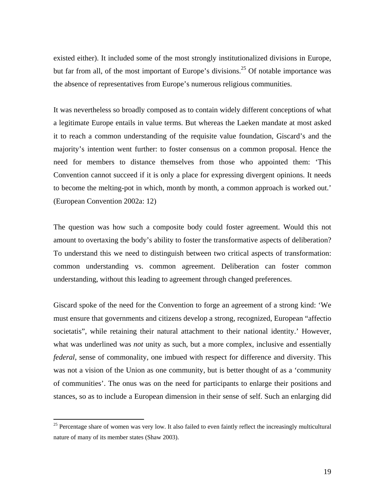existed either). It included some of the most strongly institutionalized divisions in Europe, but far from all, of the most important of Europe's divisions.<sup>25</sup> Of notable importance was the absence of representatives from Europe's numerous religious communities.

It was nevertheless so broadly composed as to contain widely different conceptions of what a legitimate Europe entails in value terms. But whereas the Laeken mandate at most asked it to reach a common understanding of the requisite value foundation, Giscard's and the majority's intention went further: to foster consensus on a common proposal. Hence the need for members to distance themselves from those who appointed them: 'This Convention cannot succeed if it is only a place for expressing divergent opinions. It needs to become the melting-pot in which, month by month, a common approach is worked out.' (European Convention 2002a: 12)

The question was how such a composite body could foster agreement. Would this not amount to overtaxing the body's ability to foster the transformative aspects of deliberation? To understand this we need to distinguish between two critical aspects of transformation: common understanding vs. common agreement. Deliberation can foster common understanding, without this leading to agreement through changed preferences.

Giscard spoke of the need for the Convention to forge an agreement of a strong kind: 'We must ensure that governments and citizens develop a strong, recognized, European "affectio societatis", while retaining their natural attachment to their national identity.' However, what was underlined was *not* unity as such, but a more complex, inclusive and essentially *federal*, sense of commonality, one imbued with respect for difference and diversity. This was not a vision of the Union as one community, but is better thought of as a 'community of communities'. The onus was on the need for participants to enlarge their positions and stances, so as to include a European dimension in their sense of self. Such an enlarging did

<span id="page-19-0"></span> $25$  Percentage share of women was very low. It also failed to even faintly reflect the increasingly multicultural nature of many of its member states (Shaw 2003).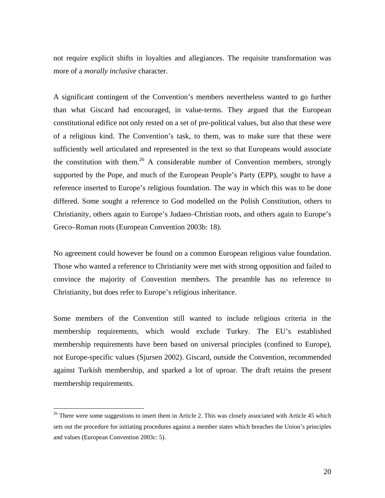not require explicit shifts in loyalties and allegiances. The requisite transformation was more of a *morally inclusive* character.

A significant contingent of the Convention's members nevertheless wanted to go further than what Giscard had encouraged, in value-terms. They argued that the European constitutional edifice not only rested on a set of pre-political values, but also that these were of a religious kind. The Convention's task, to them, was to make sure that these were sufficiently well articulated and represented in the text so that Europeans would associate the constitution with them. $26$  A considerable number of Convention members, strongly supported by the Pope, and much of the European People's Party (EPP), sought to have a reference inserted to Europe's religious foundation. The way in which this was to be done differed. Some sought a reference to God modelled on the Polish Constitution, others to Christianity, others again to Europe's Judaeo–Christian roots, and others again to Europe's Greco–Roman roots (European Convention 2003b: 18).

No agreement could however be found on a common European religious value foundation. Those who wanted a reference to Christianity were met with strong opposition and failed to convince the majority of Convention members. The preamble has no reference to Christianity, but does refer to Europe's religious inheritance.

Some members of the Convention still wanted to include religious criteria in the membership requirements, which would exclude Turkey. The EU's established membership requirements have been based on universal principles (confined to Europe), not Europe-specific values (Sjursen 2002). Giscard, outside the Convention, recommended against Turkish membership, and sparked a lot of uproar. The draft retains the present membership requirements.

<span id="page-20-0"></span> $26$  There were some suggestions to insert them in Article 2. This was closely associated with Article 45 which sets out the procedure for initiating procedures against a member states which breaches the Union's principles and values (European Convention 2003c: 5).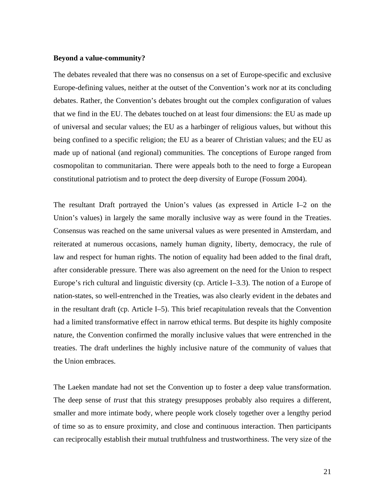#### **Beyond a value-community?**

The debates revealed that there was no consensus on a set of Europe-specific and exclusive Europe-defining values, neither at the outset of the Convention's work nor at its concluding debates. Rather, the Convention's debates brought out the complex configuration of values that we find in the EU. The debates touched on at least four dimensions: the EU as made up of universal and secular values; the EU as a harbinger of religious values, but without this being confined to a specific religion; the EU as a bearer of Christian values; and the EU as made up of national (and regional) communities. The conceptions of Europe ranged from cosmopolitan to communitarian. There were appeals both to the need to forge a European constitutional patriotism and to protect the deep diversity of Europe (Fossum 2004).

The resultant Draft portrayed the Union's values (as expressed in Article I–2 on the Union's values) in largely the same morally inclusive way as were found in the Treaties. Consensus was reached on the same universal values as were presented in Amsterdam, and reiterated at numerous occasions, namely human dignity, liberty, democracy, the rule of law and respect for human rights. The notion of equality had been added to the final draft, after considerable pressure. There was also agreement on the need for the Union to respect Europe's rich cultural and linguistic diversity (cp. Article I–3.3). The notion of a Europe of nation-states, so well-entrenched in the Treaties, was also clearly evident in the debates and in the resultant draft (cp. Article I–5). This brief recapitulation reveals that the Convention had a limited transformative effect in narrow ethical terms. But despite its highly composite nature, the Convention confirmed the morally inclusive values that were entrenched in the treaties. The draft underlines the highly inclusive nature of the community of values that the Union embraces.

The Laeken mandate had not set the Convention up to foster a deep value transformation. The deep sense of *trust* that this strategy presupposes probably also requires a different, smaller and more intimate body, where people work closely together over a lengthy period of time so as to ensure proximity, and close and continuous interaction. Then participants can reciprocally establish their mutual truthfulness and trustworthiness. The very size of the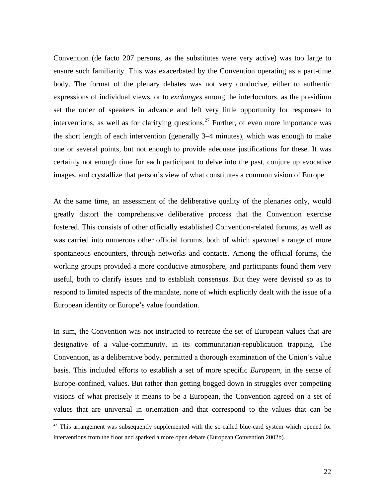Convention (de facto 207 persons, as the substitutes were very active) was too large to ensure such familiarity. This was exacerbated by the Convention operating as a part-time body. The format of the plenary debates was not very conducive, either to authentic expressions of individual views, or to *exchanges* among the interlocutors, as the presidium set the order of speakers in advance and left very little opportunity for responses to interventions, as well as for clarifying questions.<sup>27</sup> Further, of even more importance was the short length of each intervention (generally 3–4 minutes), which was enough to make one or several points, but not enough to provide adequate justifications for these. It was certainly not enough time for each participant to delve into the past, conjure up evocative images, and crystallize that person's view of what constitutes a common vision of Europe.

At the same time, an assessment of the deliberative quality of the plenaries only, would greatly distort the comprehensive deliberative process that the Convention exercise fostered. This consists of other officially established Convention-related forums, as well as was carried into numerous other official forums, both of which spawned a range of more spontaneous encounters, through networks and contacts. Among the official forums, the working groups provided a more conducive atmosphere, and participants found them very useful, both to clarify issues and to establish consensus. But they were devised so as to respond to limited aspects of the mandate, none of which explicitly dealt with the issue of a European identity or Europe's value foundation.

In sum, the Convention was not instructed to recreate the set of European values that are designative of a value-community, in its communitarian-republication trapping. The Convention, as a deliberative body, permitted a thorough examination of the Union's value basis. This included efforts to establish a set of more specific *European,* in the sense of Europe-confined, values. But rather than getting bogged down in struggles over competing visions of what precisely it means to be a European, the Convention agreed on a set of values that are universal in orientation and that correspond to the values that can be

<span id="page-22-0"></span> $27$  This arrangement was subsequently supplemented with the so-called blue-card system which opened for interventions from the floor and sparked a more open debate (European Convention 2002b).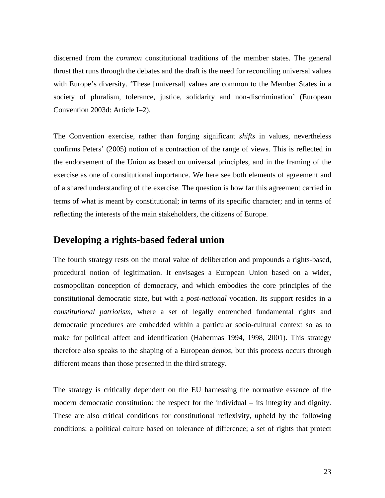discerned from the *common* constitutional traditions of the member states. The general thrust that runs through the debates and the draft is the need for reconciling universal values with Europe's diversity. 'These [universal] values are common to the Member States in a society of pluralism, tolerance, justice, solidarity and non-discrimination' (European Convention 2003d: Article I–2).

The Convention exercise, rather than forging significant *shifts* in values, nevertheless confirms Peters' (2005) notion of a contraction of the range of views. This is reflected in the endorsement of the Union as based on universal principles, and in the framing of the exercise as one of constitutional importance. We here see both elements of agreement and of a shared understanding of the exercise. The question is how far this agreement carried in terms of what is meant by constitutional; in terms of its specific character; and in terms of reflecting the interests of the main stakeholders, the citizens of Europe.

## **Developing a rights-based federal union**

The fourth strategy rests on the moral value of deliberation and propounds a rights-based, procedural notion of legitimation. It envisages a European Union based on a wider, cosmopolitan conception of democracy, and which embodies the core principles of the constitutional democratic state, but with a *post-national* vocation. Its support resides in a *constitutional patriotism*, where a set of legally entrenched fundamental rights and democratic procedures are embedded within a particular socio-cultural context so as to make for political affect and identification (Habermas 1994, 1998, 2001). This strategy therefore also speaks to the shaping of a European *demos*, but this process occurs through different means than those presented in the third strategy.

The strategy is critically dependent on the EU harnessing the normative essence of the modern democratic constitution: the respect for the individual – its integrity and dignity. These are also critical conditions for constitutional reflexivity, upheld by the following conditions: a political culture based on tolerance of difference; a set of rights that protect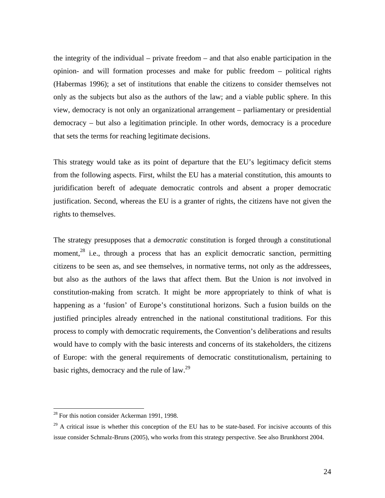the integrity of the individual – private freedom – and that also enable participation in the opinion- and will formation processes and make for public freedom – political rights (Habermas 1996); a set of institutions that enable the citizens to consider themselves not only as the subjects but also as the authors of the law; and a viable public sphere. In this view, democracy is not only an organizational arrangement – parliamentary or presidential democracy – but also a legitimation principle. In other words, democracy is a procedure that sets the terms for reaching legitimate decisions.

This strategy would take as its point of departure that the EU's legitimacy deficit stems from the following aspects. First, whilst the EU has a material constitution, this amounts to juridification bereft of adequate democratic controls and absent a proper democratic justification. Second, whereas the EU is a granter of rights, the citizens have not given the rights to themselves.

The strategy presupposes that a *democratic* constitution is forged through a constitutional moment,<sup>28</sup> i.e., through a process that has an explicit democratic sanction, permitting citizens to be seen as, and see themselves, in normative terms, not only as the addressees, but also as the authors of the laws that affect them. But the Union is *not* involved in constitution-making from scratch. It might be *m*ore appropriately to think of what is happening as a 'fusion' of Europe's constitutional horizons. Such a fusion builds on the justified principles already entrenched in the national constitutional traditions. For this process to comply with democratic requirements, the Convention's deliberations and results would have to comply with the basic interests and concerns of its stakeholders, the citizens of Europe: with the general requirements of democratic constitutionalism, pertaining to basic rights, democracy and the rule of  $law.<sup>29</sup>$ 

<span id="page-24-0"></span> $28$  For this notion consider Ackerman 1991, 1998.

<span id="page-24-1"></span><sup>&</sup>lt;sup>29</sup> A critical issue is whether this conception of the EU has to be state-based. For incisive accounts of this issue consider Schmalz-Bruns (2005), who works from this strategy perspective. See also Brunkhorst 2004.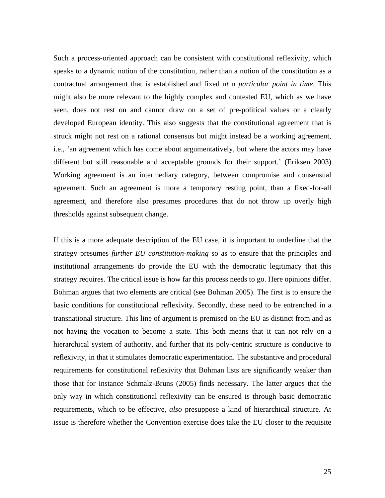Such a process-oriented approach can be consistent with constitutional reflexivity, which speaks to a dynamic notion of the constitution, rather than a notion of the constitution as a contractual arrangement that is established and fixed *at a particular point in time*. This might also be more relevant to the highly complex and contested EU, which as we have seen, does not rest on and cannot draw on a set of pre-political values or a clearly developed European identity. This also suggests that the constitutional agreement that is struck might not rest on a rational consensus but might instead be a working agreement, i.e., 'an agreement which has come about argumentatively, but where the actors may have different but still reasonable and acceptable grounds for their support.' (Eriksen 2003) Working agreement is an intermediary category, between compromise and consensual agreement. Such an agreement is more a temporary resting point, than a fixed-for-all agreement, and therefore also presumes procedures that do not throw up overly high thresholds against subsequent change.

If this is a more adequate description of the EU case, it is important to underline that the strategy presumes *further EU constitution-making* so as to ensure that the principles and institutional arrangements do provide the EU with the democratic legitimacy that this strategy requires. The critical issue is how far this process needs to go. Here opinions differ. Bohman argues that two elements are critical (see Bohman 2005). The first is to ensure the basic conditions for constitutional reflexivity. Secondly, these need to be entrenched in a transnational structure. This line of argument is premised on the EU as distinct from and as not having the vocation to become a state. This both means that it can not rely on a hierarchical system of authority, and further that its poly-centric structure is conducive to reflexivity, in that it stimulates democratic experimentation. The substantive and procedural requirements for constitutional reflexivity that Bohman lists are significantly weaker than those that for instance Schmalz-Bruns (2005) finds necessary. The latter argues that the only way in which constitutional reflexivity can be ensured is through basic democratic requirements, which to be effective, *also* presuppose a kind of hierarchical structure. At issue is therefore whether the Convention exercise does take the EU closer to the requisite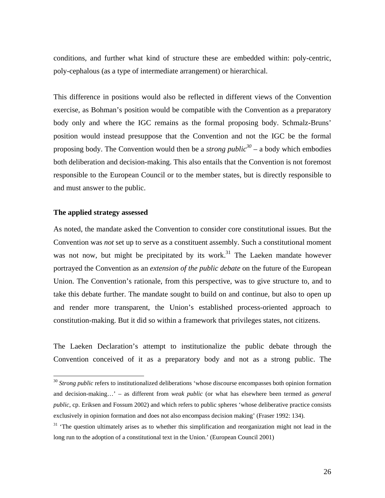conditions, and further what kind of structure these are embedded within: poly-centric, poly-cephalous (as a type of intermediate arrangement) or hierarchical.

This difference in positions would also be reflected in different views of the Convention exercise, as Bohman's position would be compatible with the Convention as a preparatory body only and where the IGC remains as the formal proposing body. Schmalz-Bruns' position would instead presuppose that the Convention and not the IGC be the formal proposing body. The Convention would then be a *strong public*<sup>30</sup> – a body which embodies both deliberation and decision-making. This also entails that the Convention is not foremost responsible to the European Council or to the member states, but is directly responsible to and must answer to the public.

#### **The applied strategy assessed**

<u>.</u>

As noted, the mandate asked the Convention to consider core constitutional issues. But the Convention was *not* set up to serve as a constituent assembly. Such a constitutional moment was not now, but might be precipitated by its work.<sup>31</sup> The Laeken mandate however portrayed the Convention as an *extension of the public debate* on the future of the European Union. The Convention's rationale, from this perspective, was to give structure to, and to take this debate further. The mandate sought to build on and continue, but also to open up and render more transparent, the Union's established process-oriented approach to constitution-making. But it did so within a framework that privileges states, not citizens.

The Laeken Declaration's attempt to institutionalize the public debate through the Convention conceived of it as a preparatory body and not as a strong public. The

<span id="page-26-0"></span><sup>&</sup>lt;sup>30</sup> *Strong public* refers to institutionalized deliberations 'whose discourse encompasses both opinion formation and decision-making…' – as different from *weak public* (or what has elsewhere been termed as *general public*, cp. Eriksen and Fossum 2002) and which refers to public spheres 'whose deliberative practice consists exclusively in opinion formation and does not also encompass decision making' (Fraser 1992: 134).

<span id="page-26-1"></span> $31$  'The question ultimately arises as to whether this simplification and reorganization might not lead in the long run to the adoption of a constitutional text in the Union.' (European Council 2001)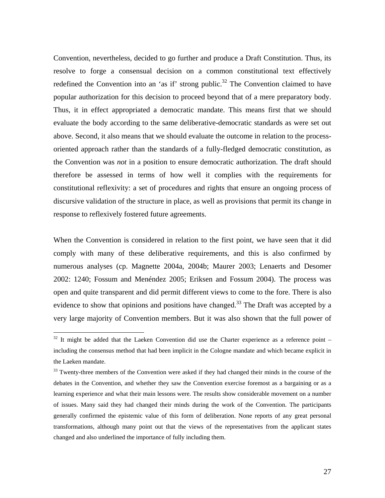Convention, nevertheless, decided to go further and produce a Draft Constitution. Thus, its resolve to forge a consensual decision on a common constitutional text effectively redefined the Convention into an 'as if' strong public.<sup>32</sup> The Convention claimed to have popular authorization for this decision to proceed beyond that of a mere preparatory body. Thus, it in effect appropriated a democratic mandate. This means first that we should evaluate the body according to the same deliberative-democratic standards as were set out above. Second, it also means that we should evaluate the outcome in relation to the processoriented approach rather than the standards of a fully-fledged democratic constitution, as the Convention was *not* in a position to ensure democratic authorization. The draft should therefore be assessed in terms of how well it complies with the requirements for constitutional reflexivity: a set of procedures and rights that ensure an ongoing process of discursive validation of the structure in place, as well as provisions that permit its change in response to reflexively fostered future agreements.

When the Convention is considered in relation to the first point, we have seen that it did comply with many of these deliberative requirements, and this is also confirmed by numerous analyses (cp. Magnette 2004a, 2004b; Maurer 2003; Lenaerts and Desomer 2002: 1240; Fossum and Menéndez 2005; Eriksen and Fossum 2004). The process was open and quite transparent and did permit different views to come to the fore. There is also evidence to show that opinions and positions have changed.<sup>33</sup> The Draft was accepted by a very large majority of Convention members. But it was also shown that the full power of

<span id="page-27-0"></span> $32$  It might be added that the Laeken Convention did use the Charter experience as a reference point – including the consensus method that had been implicit in the Cologne mandate and which became explicit in the Laeken mandate.

<span id="page-27-1"></span><sup>&</sup>lt;sup>33</sup> Twenty-three members of the Convention were asked if they had changed their minds in the course of the debates in the Convention, and whether they saw the Convention exercise foremost as a bargaining or as a learning experience and what their main lessons were. The results show considerable movement on a number of issues. Many said they had changed their minds during the work of the Convention. The participants generally confirmed the epistemic value of this form of deliberation. None reports of any great personal transformations, although many point out that the views of the representatives from the applicant states changed and also underlined the importance of fully including them.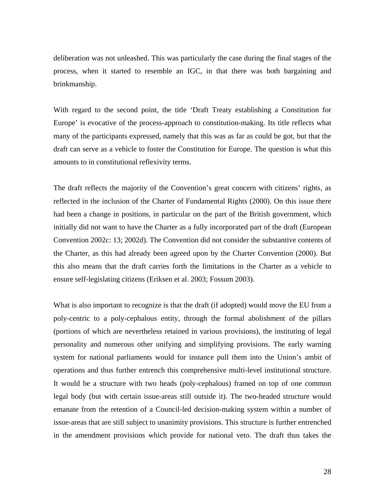deliberation was not unleashed. This was particularly the case during the final stages of the process, when it started to resemble an IGC, in that there was both bargaining and brinkmanship.

With regard to the second point, the title 'Draft Treaty establishing a Constitution for Europe' is evocative of the process-approach to constitution-making. Its title reflects what many of the participants expressed, namely that this was as far as could be got, but that the draft can serve as a vehicle to foster the Constitution for Europe. The question is what this amounts to in constitutional reflexivity terms.

The draft reflects the majority of the Convention's great concern with citizens' rights, as reflected in the inclusion of the Charter of Fundamental Rights (2000). On this issue there had been a change in positions, in particular on the part of the British government, which initially did not want to have the Charter as a fully incorporated part of the draft (European Convention 2002c: 13; 2002d). The Convention did not consider the substantive contents of the Charter, as this had already been agreed upon by the Charter Convention (2000). But this also means that the draft carries forth the limitations in the Charter as a vehicle to ensure self-legislating citizens (Eriksen et al. 2003; Fossum 2003).

What is also important to recognize is that the draft (if adopted) would move the EU from a poly-centric to a poly-cephalous entity, through the formal abolishment of the pillars (portions of which are nevertheless retained in various provisions), the instituting of legal personality and numerous other unifying and simplifying provisions. The early warning system for national parliaments would for instance pull them into the Union's ambit of operations and thus further entrench this comprehensive multi-level institutional structure. It would be a structure with two heads (poly-cephalous) framed on top of one common legal body (but with certain issue-areas still outside it). The two-headed structure would emanate from the retention of a Council-led decision-making system within a number of issue-areas that are still subject to unanimity provisions. This structure is further entrenched in the amendment provisions which provide for national veto. The draft thus takes the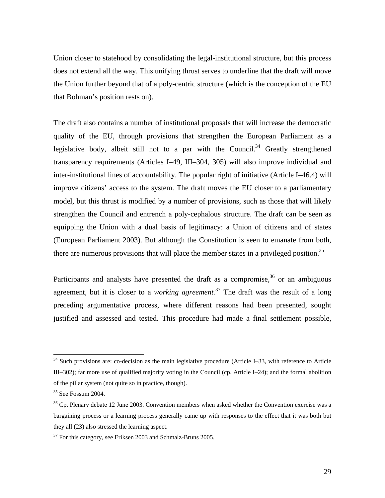Union closer to statehood by consolidating the legal-institutional structure, but this process does not extend all the way. This unifying thrust serves to underline that the draft will move the Union further beyond that of a poly-centric structure (which is the conception of the EU that Bohman's position rests on).

The draft also contains a number of institutional proposals that will increase the democratic quality of the EU, through provisions that strengthen the European Parliament as a legislative body, albeit still not to a par with the Council.<sup>34</sup> Greatly strengthened transparency requirements (Articles I–49, III–304, 305) will also improve individual and inter-institutional lines of accountability. The popular right of initiative (Article I–46.4) will improve citizens' access to the system. The draft moves the EU closer to a parliamentary model, but this thrust is modified by a number of provisions, such as those that will likely strengthen the Council and entrench a poly-cephalous structure. The draft can be seen as equipping the Union with a dual basis of legitimacy: a Union of citizens and of states (European Parliament 2003). But although the Constitution is seen to emanate from both, there are numerous provisions that will place the member states in a privileged position.<sup>35</sup>

Participants and analysts have presented the draft as a compromise, $36$  or an ambiguous agreement, but it is closer to a *working agreement.*[37](#page-29-3) The draft was the result of a long preceding argumentative process, where different reasons had been presented, sought justified and assessed and tested. This procedure had made a final settlement possible,

<span id="page-29-0"></span><sup>&</sup>lt;sup>34</sup> Such provisions are: co-decision as the main legislative procedure (Article I–33, with reference to Article III–302); far more use of qualified majority voting in the Council (cp. Article I–24); and the formal abolition of the pillar system (not quite so in practice, though).

<span id="page-29-1"></span><sup>&</sup>lt;sup>35</sup> See Fossum 2004.

<span id="page-29-2"></span><sup>&</sup>lt;sup>36</sup> Cp. Plenary debate 12 June 2003. Convention members when asked whether the Convention exercise was a bargaining process or a learning process generally came up with responses to the effect that it was both but they all (23) also stressed the learning aspect.

<span id="page-29-3"></span> $37$  For this category, see Eriksen 2003 and Schmalz-Bruns 2005.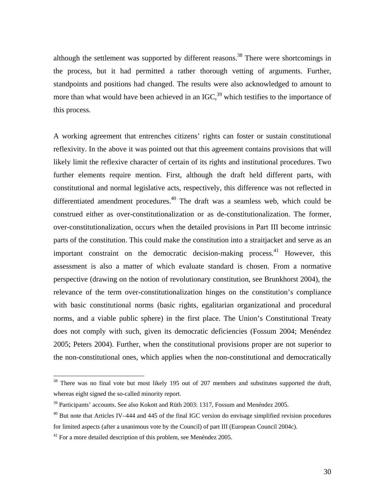although the settlement was supported by different reasons.<sup>38</sup> There were shortcomings in the process, but it had permitted a rather thorough vetting of arguments. Further, standpoints and positions had changed. The results were also acknowledged to amount to more than what would have been achieved in an IGC,  $39$  which testifies to the importance of this process.

A working agreement that entrenches citizens' rights can foster or sustain constitutional reflexivity. In the above it was pointed out that this agreement contains provisions that will likely limit the reflexive character of certain of its rights and institutional procedures. Two further elements require mention. First, although the draft held different parts, with constitutional and normal legislative acts, respectively, this difference was not reflected in differentiated amendment procedures. $40$  The draft was a seamless web, which could be construed either as over-constitutionalization or as de-constitutionalization. The former, over-constitutionalization, occurs when the detailed provisions in Part III become intrinsic parts of the constitution. This could make the constitution into a straitjacket and serve as an important constraint on the democratic decision-making process.<sup>41</sup> However, this assessment is also a matter of which evaluate standard is chosen. From a normative perspective (drawing on the notion of revolutionary constitution, see Brunkhorst 2004), the relevance of the term over-constitutionalization hinges on the constitution's compliance with basic constitutional norms (basic rights, egalitarian organizational and procedural norms, and a viable public sphere) in the first place. The Union's Constitutional Treaty does not comply with such, given its democratic deficiencies (Fossum 2004; Menéndez 2005; Peters 2004). Further, when the constitutional provisions proper are not superior to the non-constitutional ones, which applies when the non-constitutional and democratically

<span id="page-30-0"></span><sup>&</sup>lt;sup>38</sup> There was no final vote but most likely 195 out of 207 members and substitutes supported the draft, whereas eight signed the so-called minority report.

<span id="page-30-1"></span><sup>&</sup>lt;sup>39</sup> Participants' accounts. See also Kokott and Rüth 2003: 1317, Fossum and Menéndez 2005.

<span id="page-30-2"></span><sup>&</sup>lt;sup>40</sup> But note that Articles IV–444 and 445 of the final IGC version do envisage simplified revision procedures for limited aspects (after a unanimous vote by the Council) of part III (European Council 2004c).

<span id="page-30-3"></span> $41$  For a more detailed description of this problem, see Menéndez 2005.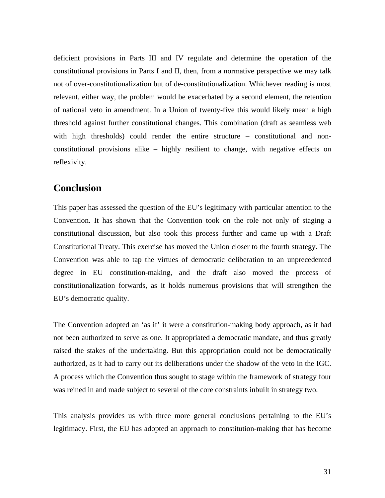deficient provisions in Parts III and IV regulate and determine the operation of the constitutional provisions in Parts I and II, then, from a normative perspective we may talk not of over-constitutionalization but of de-constitutionalization. Whichever reading is most relevant, either way, the problem would be exacerbated by a second element, the retention of national veto in amendment. In a Union of twenty-five this would likely mean a high threshold against further constitutional changes. This combination (draft as seamless web with high thresholds) could render the entire structure – constitutional and nonconstitutional provisions alike – highly resilient to change, with negative effects on reflexivity.

## **Conclusion**

This paper has assessed the question of the EU's legitimacy with particular attention to the Convention. It has shown that the Convention took on the role not only of staging a constitutional discussion, but also took this process further and came up with a Draft Constitutional Treaty. This exercise has moved the Union closer to the fourth strategy. The Convention was able to tap the virtues of democratic deliberation to an unprecedented degree in EU constitution-making, and the draft also moved the process of constitutionalization forwards, as it holds numerous provisions that will strengthen the EU's democratic quality.

The Convention adopted an 'as if' it were a constitution-making body approach, as it had not been authorized to serve as one. It appropriated a democratic mandate, and thus greatly raised the stakes of the undertaking. But this appropriation could not be democratically authorized, as it had to carry out its deliberations under the shadow of the veto in the IGC. A process which the Convention thus sought to stage within the framework of strategy four was reined in and made subject to several of the core constraints inbuilt in strategy two.

This analysis provides us with three more general conclusions pertaining to the EU's legitimacy. First, the EU has adopted an approach to constitution-making that has become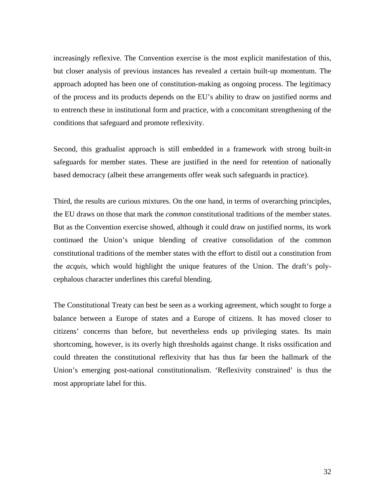increasingly reflexive. The Convention exercise is the most explicit manifestation of this, but closer analysis of previous instances has revealed a certain built-up momentum. The approach adopted has been one of constitution-making as ongoing process. The legitimacy of the process and its products depends on the EU's ability to draw on justified norms and to entrench these in institutional form and practice, with a concomitant strengthening of the conditions that safeguard and promote reflexivity.

Second, this gradualist approach is still embedded in a framework with strong built-in safeguards for member states. These are justified in the need for retention of nationally based democracy (albeit these arrangements offer weak such safeguards in practice).

Third, the results are curious mixtures. On the one hand, in terms of overarching principles, the EU draws on those that mark the *common* constitutional traditions of the member states. But as the Convention exercise showed, although it could draw on justified norms, its work continued the Union's unique blending of creative consolidation of the common constitutional traditions of the member states with the effort to distil out a constitution from the *acquis*, which would highlight the unique features of the Union. The draft's polycephalous character underlines this careful blending.

The Constitutional Treaty can best be seen as a working agreement, which sought to forge a balance between a Europe of states and a Europe of citizens. It has moved closer to citizens' concerns than before, but nevertheless ends up privileging states. Its main shortcoming, however, is its overly high thresholds against change. It risks ossification and could threaten the constitutional reflexivity that has thus far been the hallmark of the Union's emerging post-national constitutionalism. 'Reflexivity constrained' is thus the most appropriate label for this.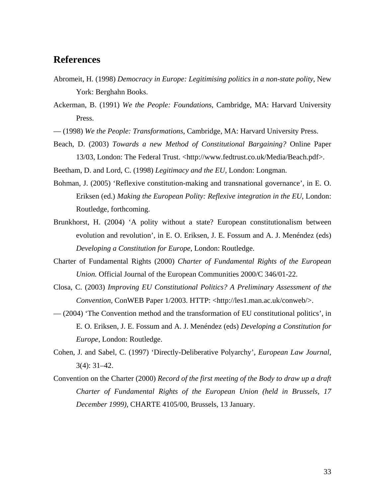## **References**

- Abromeit, H. (1998) *Democracy in Europe: Legitimising politics in a non-state polity*, New York: Berghahn Books.
- Ackerman, B. (1991) *We the People: Foundations*, Cambridge, MA: Harvard University Press.
- (1998) *We the People: Transformations*, Cambridge, MA: Harvard University Press.
- Beach, D. (2003) *Towards a new Method of Constitutional Bargaining?* Online Paper 13/03, London: The Federal Trust. <http://www.fedtrust.co.uk/Media/Beach.pdf>.
- Beetham, D. and Lord, C. (1998) *Legitimacy and the EU,* London: Longman.
- Bohman, J. (2005) 'Reflexive constitution-making and transnational governance', in E. O. Eriksen (ed.) *Making the European Polity: Reflexive integration in the EU*, London: Routledge, forthcoming.
- Brunkhorst, H. (2004) 'A polity without a state? European constitutionalism between evolution and revolution', in E. O. Eriksen, J. E. Fossum and A. J. Menéndez (eds) *Developing a Constitution for Europe*, London: Routledge.
- Charter of Fundamental Rights (2000) *Charter of Fundamental Rights of the European Union.* Official Journal of the European Communities 2000/C 346/01-22.
- Closa, C. (2003) *Improving EU Constitutional Politics? A Preliminary Assessment of the Convention,* ConWEB Paper 1/2003. HTTP: <http://les1.man.ac.uk/conweb/>.
- (2004) 'The Convention method and the transformation of EU constitutional politics', in E. O. Eriksen, J. E. Fossum and A. J. Menéndez (eds) *Developing a Constitution for Europe*, London: Routledge.
- Cohen, J. and Sabel, C. (1997) 'Directly-Deliberative Polyarchy', *European Law Journal,*  3(4): 31–42.
- Convention on the Charter (2000) *Record of the first meeting of the Body to draw up a draft Charter of Fundamental Rights of the European Union (held in Brussels, 17 December 1999)*, CHARTE 4105/00, Brussels, 13 January.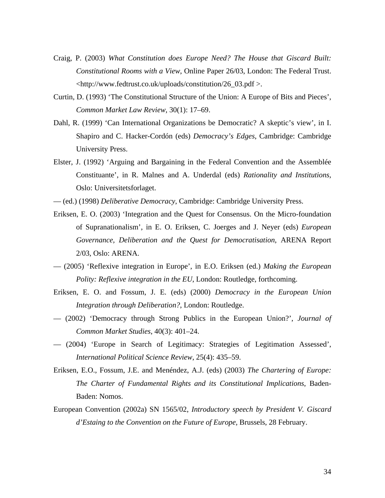- Craig, P. (2003) *What Constitution does Europe Need? The House that Giscard Built: Constitutional Rooms with a View*, Online Paper 26/03, London: The Federal Trust. <http://www.fedtrust.co.uk/uploads/constitution/26\_03.pdf >.
- Curtin, D. (1993) 'The Constitutional Structure of the Union: A Europe of Bits and Pieces', *Common Market Law Review*, 30(1): 17–69.
- Dahl, R. (1999) 'Can International Organizations be Democratic? A skeptic's view', in I. Shapiro and C. Hacker-Cordón (eds) *Democracy's Edges*, Cambridge: Cambridge University Press.
- Elster, J. (1992) 'Arguing and Bargaining in the Federal Convention and the Assemblée Constituante', in R. Malnes and A. Underdal (eds) *Rationality and Institutions,* Oslo: Universitetsforlaget.
- (ed.) (1998) *Deliberative Democracy*, Cambridge: Cambridge University Press.
- Eriksen, E. O. (2003) 'Integration and the Quest for Consensus. On the Micro-foundation of Supranationalism', in E. O. Eriksen, C. Joerges and J. Neyer (eds) *European Governance, Deliberation and the Quest for Democratisation*, ARENA Report 2/03, Oslo: ARENA.
- (2005) 'Reflexive integration in Europe', in E.O. Eriksen (ed.) *Making the European Polity: Reflexive integration in the EU*, London: Routledge, forthcoming.
- Eriksen, E. O. and Fossum, J. E. (eds) (2000) *Democracy in the European Union Integration through Deliberation?*, London: Routledge.
- (2002) 'Democracy through Strong Publics in the European Union?', *Journal of Common Market Studies*, 40(3): 401–24.
- (2004) 'Europe in Search of Legitimacy: Strategies of Legitimation Assessed', *International Political Science Review*, 25(4): 435–59.
- Eriksen, E.O., Fossum, J.E. and Menéndez, A.J. (eds) (2003) *The Chartering of Europe: The Charter of Fundamental Rights and its Constitutional Implications*, Baden-Baden: Nomos.
- European Convention (2002a) SN 1565/02, *Introductory speech by President V. Giscard d'Estaing to the Convention on the Future of Europe,* Brussels, 28 February.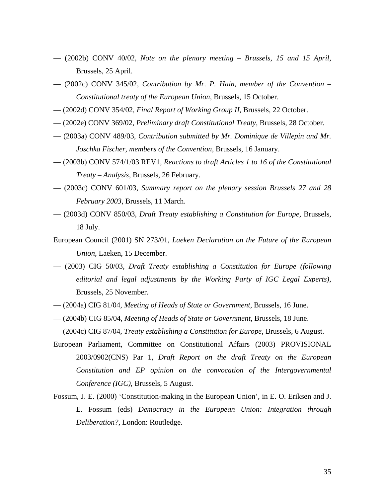- (2002b) CONV 40/02, *Note on the plenary meeting Brussels, 15 and 15 April*, Brussels, 25 April.
- (2002c) CONV 345/02, *Contribution by Mr. P. Hain, member of the Convention Constitutional treaty of the European Union*, Brussels, 15 October.
- (2002d) CONV 354/02, *Final Report of Working Group II*, Brussels, 22 October.
- (2002e) CONV 369/02, *Preliminary draft Constitutional Treaty*, Brussels, 28 October.
- (2003a) CONV 489/03, *Contribution submitted by Mr. Dominique de Villepin and Mr. Joschka Fischer, members of the Convention*, Brussels, 16 January.
- (2003b) CONV 574/1/03 REV1, *Reactions to draft Articles 1 to 16 of the Constitutional Treaty – Analysis*, Brussels, 26 February.
- (2003c) CONV 601/03, *Summary report on the plenary session Brussels 27 and 28 February 2003*, Brussels, 11 March.
- (2003d) CONV 850/03, *Draft Treaty establishing a Constitution for Europe,* Brussels, 18 July.
- European Council (2001) SN 273/01, *Laeken Declaration on the Future of the European Union*, Laeken, 15 December.
- (2003) CIG 50/03, *Draft Treaty establishing a Constitution for Europe (following editorial and legal adjustments by the Working Party of IGC Legal Experts)*, Brussels, 25 November.
- (2004a) CIG 81/04, *Meeting of Heads of State or Government*, Brussels, 16 June.
- (2004b) CIG 85/04, *Meeting of Heads of State or Government*, Brussels, 18 June.
- (2004c) CIG 87/04, *Treaty establishing a Constitution for Europe*, Brussels, 6 August.
- European Parliament, Committee on Constitutional Affairs (2003) PROVISIONAL 2003/0902(CNS) Par 1, *Draft Report on the draft Treaty on the European Constitution and EP opinion on the convocation of the Intergovernmental Conference (IGC)*, Brussels, 5 August.
- Fossum, J. E. (2000) 'Constitution-making in the European Union', in E. O. Eriksen and J. E. Fossum (eds) *Democracy in the European Union: Integration through Deliberation?*, London: Routledge.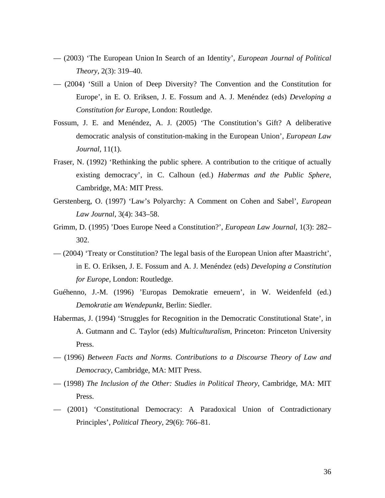- (2003) 'The European Union In Search of an Identity', *European Journal of Political Theory*, 2(3): 319–40.
- (2004) 'Still a Union of Deep Diversity? The Convention and the Constitution for Europe', in E. O. Eriksen, J. E. Fossum and A. J. Menéndez (eds) *Developing a Constitution for Europe*, London: Routledge.
- Fossum, J. E. and Menéndez, A. J. (2005) 'The Constitution's Gift? A deliberative democratic analysis of constitution-making in the European Union', *European Law Journal*, 11(1).
- Fraser, N. (1992) 'Rethinking the public sphere. A contribution to the critique of actually existing democracy', in C. Calhoun (ed.) *Habermas and the Public Sphere*, Cambridge, MA: MIT Press.
- Gerstenberg, O. (1997) 'Law's Polyarchy: A Comment on Cohen and Sabel', *European Law Journal*, 3(4): 343–58.
- Grimm, D. (1995) 'Does Europe Need a Constitution?', *European Law Journal*, 1(3): 282– 302.
- (2004) 'Treaty or Constitution? The legal basis of the European Union after Maastricht', in E. O. Eriksen, J. E. Fossum and A. J. Menéndez (eds) *Developing a Constitution for Europe,* London: Routledge.
- Guéhenno, J.-M. (1996) 'Europas Demokratie erneuern', in W. Weidenfeld (ed.) *Demokratie am Wendepunkt*, Berlin: Siedler.
- Habermas, J. (1994) 'Struggles for Recognition in the Democratic Constitutional State', in A. Gutmann and C. Taylor (eds) *Multiculturalism*, Princeton: Princeton University Press.
- (1996) *Between Facts and Norms. Contributions to a Discourse Theory of Law and Democracy*, Cambridge, MA: MIT Press.
- (1998) *The Inclusion of the Other: Studies in Political Theory*, Cambridge, MA: MIT Press.
- (2001) 'Constitutional Democracy: A Paradoxical Union of Contradictionary Principles', *Political Theory,* 29(6): 766–81.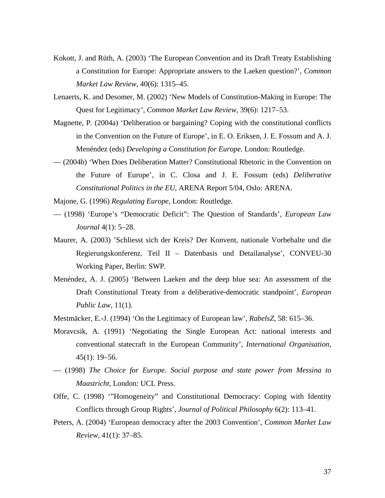- Kokott, J. and Rüth, A. (2003) 'The European Convention and its Draft Treaty Establishing a Constitution for Europe: Appropriate answers to the Laeken question?', *Common Market Law Review*, 40(6): 1315–45.
- Lenaerts, K. and Desomer, M. (2002) 'New Models of Constitution-Making in Europe: The Quest for Legitimacy', *Common Market Law Review*, 39(6): 1217–53.
- Magnette, P. (2004a) 'Deliberation or bargaining? Coping with the constitutional conflicts in the Convention on the Future of Europe', in E. O. Eriksen, J. E. Fossum and A. J. Menéndez (eds) *Developing a Constitution for Europe.* London: Routledge.
- (2004b) 'When Does Deliberation Matter? Constitutional Rhetoric in the Convention on the Future of Europe', in C. Closa and J. E. Fossum (eds) *Deliberative Constitutional Politics in the EU*, ARENA Report 5/04, Oslo: ARENA.
- Majone, G. (1996) *Regulating Europe*, London: Routledge.
- (1998) 'Europe's "Democratic Deficit": The Question of Standards', *European Law Journal* 4(1): 5–28.
- Maurer, A. (2003) 'Schliesst sich der Kreis? Der Konvent, nationale Vorbehalte und die Regierungskonferenz. Teil II – Datenbasis und Detailanalyse', CONVEU-30 Working Paper, Berlin: SWP.
- Menéndez, A. J. (2005) 'Between Laeken and the deep blue sea: An assessment of the Draft Constitutional Treaty from a deliberative-democratic standpoint', *European Public Law*, 11(1).
- Mestmäcker, E.-J. (1994) 'On the Legitimacy of European law', *RabelsZ*, 58: 615–36.
- Moravcsik, A. (1991) 'Negotiating the Single European Act: national interests and conventional statecraft in the European Community', *International Organisation,* 45(1): 19–56.
- (1998) *The Choice for Europe. Social purpose and state power from Messina to Maastricht*, London: UCL Press.
- Offe, C. (1998) '"Homogeneity" and Constitutional Democracy: Coping with Identity Conflicts through Group Rights', *Journal of Political Philosophy* 6(2): 113–41.
- Peters, A. (2004) 'European democracy after the 2003 Convention', *Common Market Law Review*, 41(1): 37–85.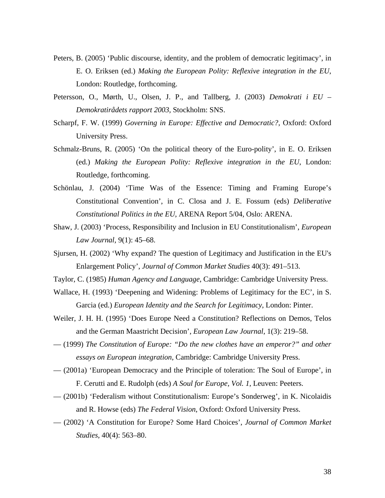- Peters, B. (2005) 'Public discourse, identity, and the problem of democratic legitimacy', in E. O. Eriksen (ed.) *Making the European Polity: Reflexive integration in the EU*, London: Routledge, forthcoming.
- Petersson, O., Mørth, U., Olsen, J. P., and Tallberg, J. (2003) *Demokrati i EU Demokratirådets rapport 2003,* Stockholm: SNS.
- Scharpf, F. W. (1999) *Governing in Europe: Effective and Democratic?*, Oxford: Oxford University Press.
- Schmalz-Bruns, R. (2005) 'On the political theory of the Euro-polity', in E. O. Eriksen (ed.) *Making the European Polity: Reflexive integration in the EU*, London: Routledge, forthcoming.
- Schönlau, J. (2004) 'Time Was of the Essence: Timing and Framing Europe's Constitutional Convention', in C. Closa and J. E. Fossum (eds) *Deliberative Constitutional Politics in the EU*, ARENA Report 5/04, Oslo: ARENA.
- Shaw, J. (2003) 'Process, Responsibility and Inclusion in EU Constitutionalism', *European Law Journal*, 9(1): 45–68.
- Sjursen, H. (2002) 'Why expand? The question of Legitimacy and Justification in the EU's Enlargement Policy', *Journal of Common Market Studies* 40(3): 491–513.
- Taylor, C. (1985) *Human Agency and Language*, Cambridge: Cambridge University Press.
- Wallace, H. (1993) 'Deepening and Widening: Problems of Legitimacy for the EC', in S. Garcia (ed.) *European Identity and the Search for Legitimacy*, London: Pinter.
- Weiler, J. H. H. (1995) 'Does Europe Need a Constitution? Reflections on Demos, Telos and the German Maastricht Decision', *European Law Journal*, 1(3): 219–58.
- (1999) *The Constitution of Europe: "Do the new clothes have an emperor?" and other essays on European integration*, Cambridge: Cambridge University Press.
- (2001a) 'European Democracy and the Principle of toleration: The Soul of Europe', in F. Cerutti and E. Rudolph (eds) *A Soul for Europe, Vol. 1*, Leuven: Peeters.
- (2001b) 'Federalism without Constitutionalism: Europe's Sonderweg', in K. Nicolaidis and R. Howse (eds) *The Federal Vision*, Oxford: Oxford University Press.
- (2002) 'A Constitution for Europe? Some Hard Choices', *Journal of Common Market Studies*, 40(4): 563–80.